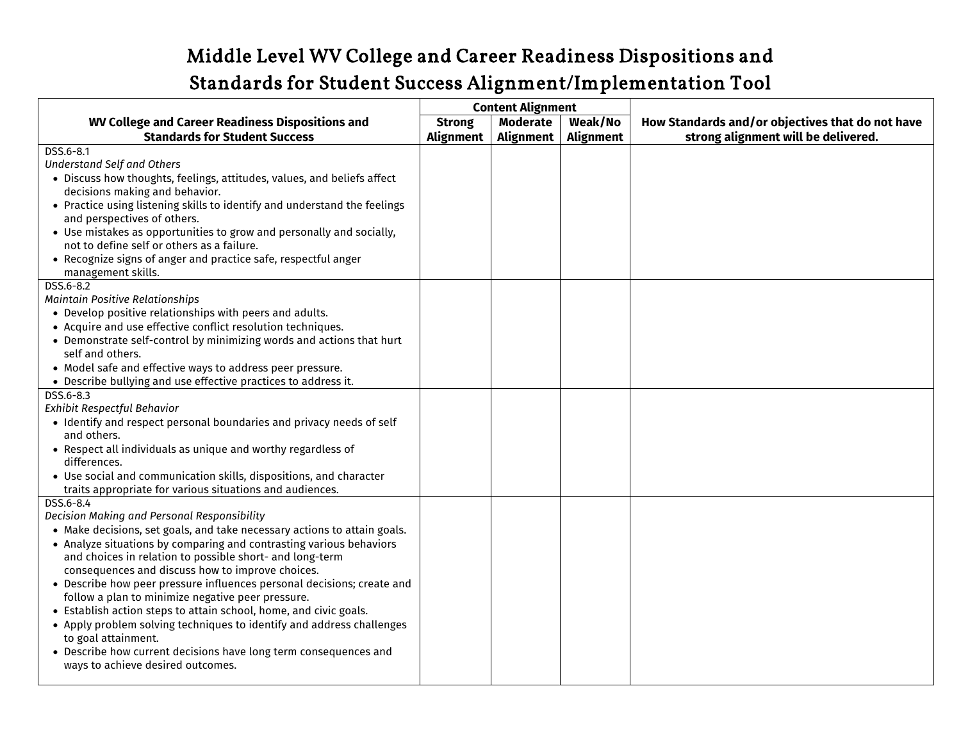## Middle Level WV College and Career Readiness Dispositions and Standards for Student Success Alignment/Implementation Tool

|                                                                                                                                                                                                                                                                                                                                                                                                                                                                                                                                                                                                                                                                                                                                          | <b>Content Alignment</b>   |                                     |                             |                                                                                         |
|------------------------------------------------------------------------------------------------------------------------------------------------------------------------------------------------------------------------------------------------------------------------------------------------------------------------------------------------------------------------------------------------------------------------------------------------------------------------------------------------------------------------------------------------------------------------------------------------------------------------------------------------------------------------------------------------------------------------------------------|----------------------------|-------------------------------------|-----------------------------|-----------------------------------------------------------------------------------------|
| <b>WV College and Career Readiness Dispositions and</b><br><b>Standards for Student Success</b>                                                                                                                                                                                                                                                                                                                                                                                                                                                                                                                                                                                                                                          | <b>Strong</b><br>Alignment | <b>Moderate</b><br><b>Alignment</b> | Weak/No<br><b>Alignment</b> | How Standards and/or objectives that do not have<br>strong alignment will be delivered. |
| DSS.6-8.1<br><b>Understand Self and Others</b><br>. Discuss how thoughts, feelings, attitudes, values, and beliefs affect<br>decisions making and behavior.<br>• Practice using listening skills to identify and understand the feelings<br>and perspectives of others.<br>• Use mistakes as opportunities to grow and personally and socially,<br>not to define self or others as a failure.<br>• Recognize signs of anger and practice safe, respectful anger                                                                                                                                                                                                                                                                          |                            |                                     |                             |                                                                                         |
| management skills.<br>DSS.6-8.2<br><b>Maintain Positive Relationships</b><br>• Develop positive relationships with peers and adults.<br>• Acquire and use effective conflict resolution techniques.<br>• Demonstrate self-control by minimizing words and actions that hurt<br>self and others.<br>. Model safe and effective ways to address peer pressure.<br>• Describe bullying and use effective practices to address it.<br>DSS.6-8.3<br>Exhibit Respectful Behavior                                                                                                                                                                                                                                                               |                            |                                     |                             |                                                                                         |
| · Identify and respect personal boundaries and privacy needs of self<br>and others.<br>• Respect all individuals as unique and worthy regardless of<br>differences.<br>• Use social and communication skills, dispositions, and character<br>traits appropriate for various situations and audiences.                                                                                                                                                                                                                                                                                                                                                                                                                                    |                            |                                     |                             |                                                                                         |
| DSS.6-8.4<br>Decision Making and Personal Responsibility<br>• Make decisions, set goals, and take necessary actions to attain goals.<br>• Analyze situations by comparing and contrasting various behaviors<br>and choices in relation to possible short- and long-term<br>consequences and discuss how to improve choices.<br>• Describe how peer pressure influences personal decisions; create and<br>follow a plan to minimize negative peer pressure.<br>• Establish action steps to attain school, home, and civic goals.<br>• Apply problem solving techniques to identify and address challenges<br>to goal attainment.<br>• Describe how current decisions have long term consequences and<br>ways to achieve desired outcomes. |                            |                                     |                             |                                                                                         |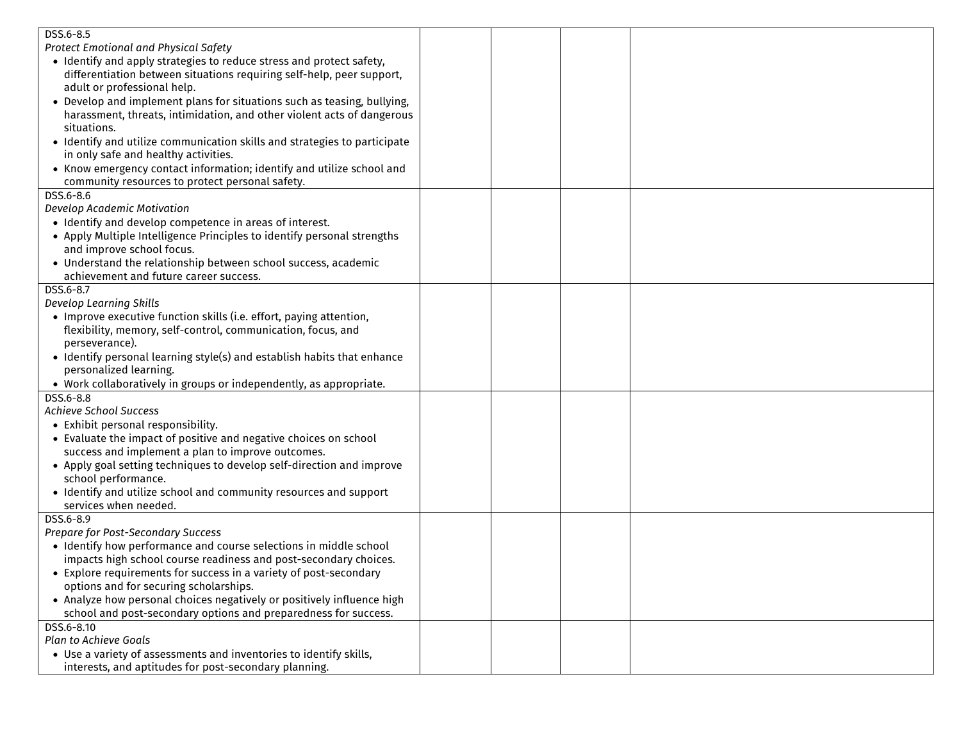| DSS.6-8.5                                                                                         |  |  |
|---------------------------------------------------------------------------------------------------|--|--|
| <b>Protect Emotional and Physical Safety</b>                                                      |  |  |
| • Identify and apply strategies to reduce stress and protect safety,                              |  |  |
| differentiation between situations requiring self-help, peer support,                             |  |  |
| adult or professional help.                                                                       |  |  |
| • Develop and implement plans for situations such as teasing, bullying,                           |  |  |
| harassment, threats, intimidation, and other violent acts of dangerous                            |  |  |
| situations.                                                                                       |  |  |
| · Identify and utilize communication skills and strategies to participate                         |  |  |
| in only safe and healthy activities.                                                              |  |  |
| • Know emergency contact information; identify and utilize school and                             |  |  |
| community resources to protect personal safety.                                                   |  |  |
| DSS.6-8.6                                                                                         |  |  |
| Develop Academic Motivation                                                                       |  |  |
| • Identify and develop competence in areas of interest.                                           |  |  |
| • Apply Multiple Intelligence Principles to identify personal strengths                           |  |  |
| and improve school focus.                                                                         |  |  |
| . Understand the relationship between school success, academic                                    |  |  |
| achievement and future career success.                                                            |  |  |
| DSS.6-8.7                                                                                         |  |  |
| <b>Develop Learning Skills</b>                                                                    |  |  |
| • Improve executive function skills (i.e. effort, paying attention,                               |  |  |
| flexibility, memory, self-control, communication, focus, and                                      |  |  |
| perseverance).                                                                                    |  |  |
| • Identify personal learning style(s) and establish habits that enhance<br>personalized learning. |  |  |
|                                                                                                   |  |  |
| • Work collaboratively in groups or independently, as appropriate.<br>DSS.6-8.8                   |  |  |
| Achieve School Success                                                                            |  |  |
| • Exhibit personal responsibility.                                                                |  |  |
| • Evaluate the impact of positive and negative choices on school                                  |  |  |
| success and implement a plan to improve outcomes.                                                 |  |  |
| • Apply goal setting techniques to develop self-direction and improve                             |  |  |
| school performance.                                                                               |  |  |
| • Identify and utilize school and community resources and support                                 |  |  |
| services when needed.                                                                             |  |  |
| DSS.6-8.9                                                                                         |  |  |
| Prepare for Post-Secondary Success                                                                |  |  |
| · Identify how performance and course selections in middle school                                 |  |  |
| impacts high school course readiness and post-secondary choices.                                  |  |  |
| • Explore requirements for success in a variety of post-secondary                                 |  |  |
| options and for securing scholarships.                                                            |  |  |
| • Analyze how personal choices negatively or positively influence high                            |  |  |
| school and post-secondary options and preparedness for success.                                   |  |  |
| DSS.6-8.10                                                                                        |  |  |
| <b>Plan to Achieve Goals</b>                                                                      |  |  |
| . Use a variety of assessments and inventories to identify skills,                                |  |  |
| interests, and aptitudes for post-secondary planning.                                             |  |  |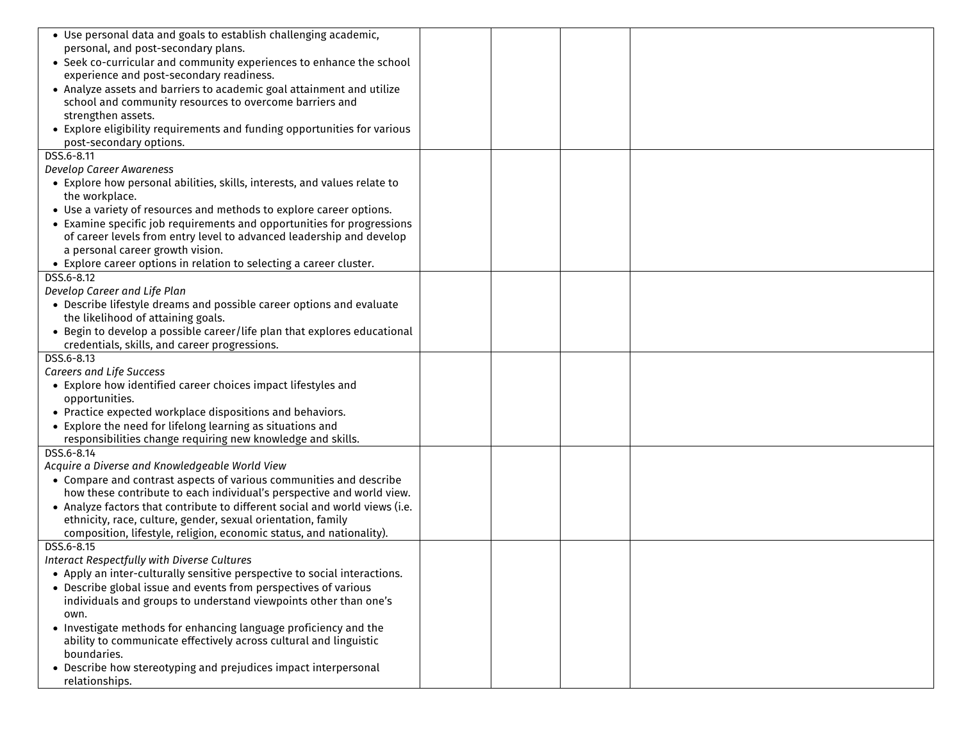| • Use personal data and goals to establish challenging academic,<br>personal, and post-secondary plans.<br>• Seek co-curricular and community experiences to enhance the school<br>experience and post-secondary readiness.<br>• Analyze assets and barriers to academic goal attainment and utilize<br>school and community resources to overcome barriers and<br>strengthen assets.<br>• Explore eligibility requirements and funding opportunities for various<br>post-secondary options. |  |  |
|----------------------------------------------------------------------------------------------------------------------------------------------------------------------------------------------------------------------------------------------------------------------------------------------------------------------------------------------------------------------------------------------------------------------------------------------------------------------------------------------|--|--|
| DSS.6-8.11                                                                                                                                                                                                                                                                                                                                                                                                                                                                                   |  |  |
| Develop Career Awareness                                                                                                                                                                                                                                                                                                                                                                                                                                                                     |  |  |
| • Explore how personal abilities, skills, interests, and values relate to                                                                                                                                                                                                                                                                                                                                                                                                                    |  |  |
| the workplace.                                                                                                                                                                                                                                                                                                                                                                                                                                                                               |  |  |
| • Use a variety of resources and methods to explore career options.                                                                                                                                                                                                                                                                                                                                                                                                                          |  |  |
| • Examine specific job requirements and opportunities for progressions                                                                                                                                                                                                                                                                                                                                                                                                                       |  |  |
| of career levels from entry level to advanced leadership and develop                                                                                                                                                                                                                                                                                                                                                                                                                         |  |  |
| a personal career growth vision.                                                                                                                                                                                                                                                                                                                                                                                                                                                             |  |  |
| • Explore career options in relation to selecting a career cluster.                                                                                                                                                                                                                                                                                                                                                                                                                          |  |  |
| DSS.6-8.12                                                                                                                                                                                                                                                                                                                                                                                                                                                                                   |  |  |
| Develop Career and Life Plan                                                                                                                                                                                                                                                                                                                                                                                                                                                                 |  |  |
| • Describe lifestyle dreams and possible career options and evaluate                                                                                                                                                                                                                                                                                                                                                                                                                         |  |  |
| the likelihood of attaining goals.                                                                                                                                                                                                                                                                                                                                                                                                                                                           |  |  |
| • Begin to develop a possible career/life plan that explores educational                                                                                                                                                                                                                                                                                                                                                                                                                     |  |  |
| credentials, skills, and career progressions.<br>DSS.6-8.13                                                                                                                                                                                                                                                                                                                                                                                                                                  |  |  |
| Careers and Life Success                                                                                                                                                                                                                                                                                                                                                                                                                                                                     |  |  |
| • Explore how identified career choices impact lifestyles and                                                                                                                                                                                                                                                                                                                                                                                                                                |  |  |
| opportunities.                                                                                                                                                                                                                                                                                                                                                                                                                                                                               |  |  |
| • Practice expected workplace dispositions and behaviors.                                                                                                                                                                                                                                                                                                                                                                                                                                    |  |  |
| • Explore the need for lifelong learning as situations and                                                                                                                                                                                                                                                                                                                                                                                                                                   |  |  |
| responsibilities change requiring new knowledge and skills.                                                                                                                                                                                                                                                                                                                                                                                                                                  |  |  |
| DSS.6-8.14                                                                                                                                                                                                                                                                                                                                                                                                                                                                                   |  |  |
| Acquire a Diverse and Knowledgeable World View                                                                                                                                                                                                                                                                                                                                                                                                                                               |  |  |
| • Compare and contrast aspects of various communities and describe                                                                                                                                                                                                                                                                                                                                                                                                                           |  |  |
| how these contribute to each individual's perspective and world view.                                                                                                                                                                                                                                                                                                                                                                                                                        |  |  |
| • Analyze factors that contribute to different social and world views (i.e.                                                                                                                                                                                                                                                                                                                                                                                                                  |  |  |
| ethnicity, race, culture, gender, sexual orientation, family                                                                                                                                                                                                                                                                                                                                                                                                                                 |  |  |
| composition, lifestyle, religion, economic status, and nationality).                                                                                                                                                                                                                                                                                                                                                                                                                         |  |  |
| DSS.6-8.15                                                                                                                                                                                                                                                                                                                                                                                                                                                                                   |  |  |
| Interact Respectfully with Diverse Cultures                                                                                                                                                                                                                                                                                                                                                                                                                                                  |  |  |
| • Apply an inter-culturally sensitive perspective to social interactions.                                                                                                                                                                                                                                                                                                                                                                                                                    |  |  |
| • Describe global issue and events from perspectives of various                                                                                                                                                                                                                                                                                                                                                                                                                              |  |  |
| individuals and groups to understand viewpoints other than one's                                                                                                                                                                                                                                                                                                                                                                                                                             |  |  |
| own.                                                                                                                                                                                                                                                                                                                                                                                                                                                                                         |  |  |
| • Investigate methods for enhancing language proficiency and the                                                                                                                                                                                                                                                                                                                                                                                                                             |  |  |
| ability to communicate effectively across cultural and linguistic<br>boundaries.                                                                                                                                                                                                                                                                                                                                                                                                             |  |  |
| • Describe how stereotyping and prejudices impact interpersonal                                                                                                                                                                                                                                                                                                                                                                                                                              |  |  |
| relationships.                                                                                                                                                                                                                                                                                                                                                                                                                                                                               |  |  |